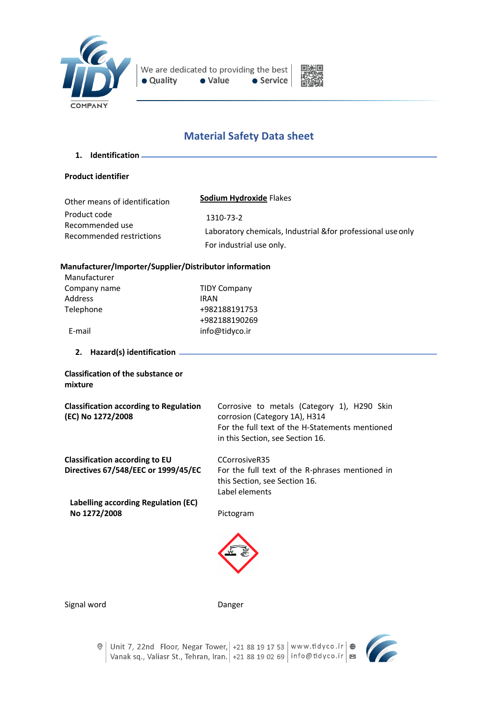



# **Material Safety Data sheet**

**1. Identification**

#### **Product identifier**

| Other means of identification | Sodium Hydroxide Flakes                                      |
|-------------------------------|--------------------------------------------------------------|
| Product code                  | 1310-73-2                                                    |
| Recommended use               | Laboratory chemicals, Industrial & for professional use only |
| Recommended restrictions      | For industrial use only.                                     |

#### **Manufacturer/Importer/Supplier/Distributor information**

| Manufacturer   |                     |
|----------------|---------------------|
| Company name   | <b>TIDY Company</b> |
| <b>Address</b> | <b>IRAN</b>         |
| Telephone      | +982188191753       |
|                | +982188190269       |
| E-mail         | info@tidyco.ir      |

**2. Hazard(s) identification**

## **Classification of the substance or mixture**

| <b>Classification according to Regulation</b> |  |
|-----------------------------------------------|--|
| (EC) No 1272/2008                             |  |

**Classification according to EU Directives 67/548/EEC or 1999/45/EC**

**Labelling according Regulation (EC) No 1272/2008**

Corrosive to metals (Category 1), H290 Skin corrosion (Category 1A), H314 For the full text of the H-Statements mentioned in this Section, see Section 16.

CCorrosiveR35 For the full text of the R-phrases mentioned in this Section, see Section 16. Label elements

Pictogram



Signal word Danger

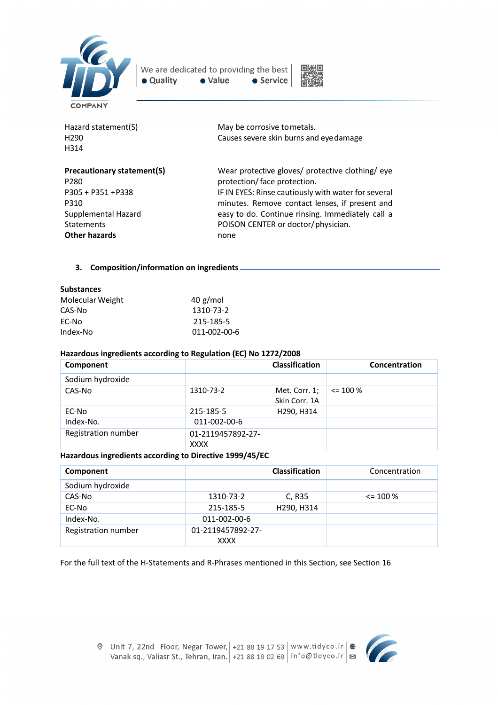

We are dedicated to providing the best · Quality • Value • Service



| Hazard statement(S)               | May be corrosive to metals.                         |
|-----------------------------------|-----------------------------------------------------|
| H290                              | Causes severe skin burns and eye damage             |
| H314                              |                                                     |
| <b>Precautionary statement(S)</b> | Wear protective gloves/ protective clothing/ eye    |
| P280                              | protection/face protection.                         |
| P305 + P351 + P338                | IF IN EYES: Rinse cautiously with water for several |
| P310                              | minutes. Remove contact lenses, if present and      |
| Supplemental Hazard               | easy to do. Continue rinsing. Immediately call a    |
| Statements                        | POISON CENTER or doctor/physician.                  |
| <b>Other hazards</b>              | none                                                |
|                                   |                                                     |

## **3. Composition/information on ingredients**

| <b>Substances</b> |            |
|-------------------|------------|
| Molecular Weight  | $40$ g/mol |
| CAS-No            | 1310-73-2  |
| EC-No             | 215-185-5  |

Index-No011-002-00-6

## **Hazardous ingredients according to Regulation (EC) No 1272/2008**

| Component           |                                  | <b>Classification</b>          | Concentration |
|---------------------|----------------------------------|--------------------------------|---------------|
| Sodium hydroxide    |                                  |                                |               |
| CAS-No              | 1310-73-2                        | Met. Corr. 1;<br>Skin Corr. 1A | $\leq$ 100 %  |
| EC-No               | 215-185-5                        | H290, H314                     |               |
| Index-No.           | 011-002-00-6                     |                                |               |
| Registration number | 01-2119457892-27-<br><b>XXXX</b> |                                |               |

## **Hazardous ingredients according to Directive 1999/45/EC**

| Component           |                   | <b>Classification</b> | Concentration |
|---------------------|-------------------|-----------------------|---------------|
| Sodium hydroxide    |                   |                       |               |
| CAS-No              | 1310-73-2         | C, R35                | $\leq$ 100 %  |
| EC-No               | 215-185-5         | H290, H314            |               |
| Index-No.           | 011-002-00-6      |                       |               |
| Registration number | 01-2119457892-27- |                       |               |
|                     | <b>XXXX</b>       |                       |               |

For the full text of the H-Statements and R-Phrases mentioned in this Section, see Section 16

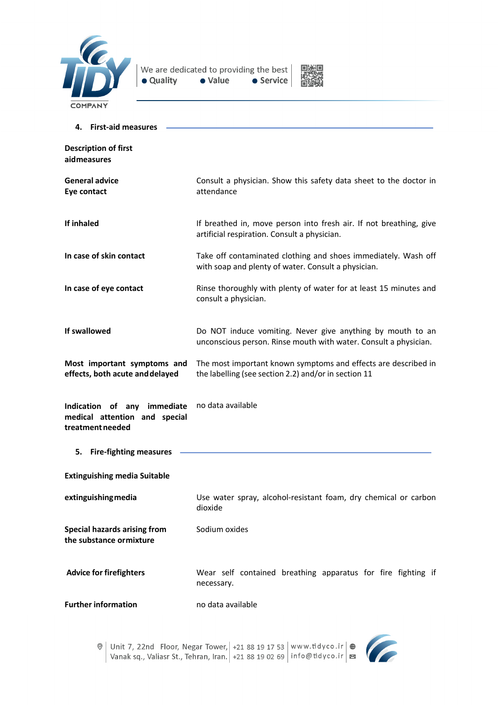



| 4. First-aid measures                                                            |                                                                                                                                |
|----------------------------------------------------------------------------------|--------------------------------------------------------------------------------------------------------------------------------|
| <b>Description of first</b><br>aidmeasures                                       |                                                                                                                                |
| <b>General advice</b><br>Eye contact                                             | Consult a physician. Show this safety data sheet to the doctor in<br>attendance                                                |
| If inhaled                                                                       | If breathed in, move person into fresh air. If not breathing, give<br>artificial respiration. Consult a physician.             |
| In case of skin contact                                                          | Take off contaminated clothing and shoes immediately. Wash off<br>with soap and plenty of water. Consult a physician.          |
| In case of eye contact                                                           | Rinse thoroughly with plenty of water for at least 15 minutes and<br>consult a physician.                                      |
| If swallowed                                                                     | Do NOT induce vomiting. Never give anything by mouth to an<br>unconscious person. Rinse mouth with water. Consult a physician. |
| Most important symptoms and<br>effects, both acute and delayed                   | The most important known symptoms and effects are described in<br>the labelling (see section 2.2) and/or in section 11         |
| Indication of any immediate<br>medical attention and special<br>treatment needed | no data available                                                                                                              |
| <b>Fire-fighting measures</b><br>5.                                              |                                                                                                                                |
| <b>Extinguishing media Suitable</b>                                              |                                                                                                                                |
| extinguishing media                                                              | Use water spray, alcohol-resistant foam, dry chemical or carbon<br>dioxide                                                     |
| <b>Special hazards arising from</b><br>the substance ormixture                   | Sodium oxides                                                                                                                  |
| <b>Advice for firefighters</b>                                                   | Wear self contained breathing apparatus for fire fighting if<br>necessary.                                                     |
| <b>Further information</b>                                                       | no data available                                                                                                              |



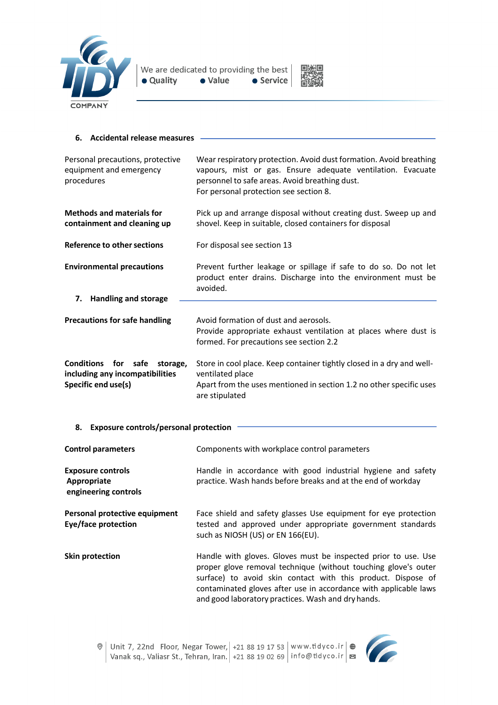



#### **6. Accidental release measures** Personal precautions, protective equipment and emergency procedures Wear respiratory protection. Avoid dust formation. Avoid breathing vapours, mist or gas. Ensure adequate ventilation. Evacuate personnel to safe areas. Avoid breathing dust. For personal protection see section 8. **Methods and materials for containment and cleaning up** Pick up and arrange disposal without creating dust. Sweep up and shovel. Keep in suitable, closed containers for disposal **Reference to other sections** For disposal see section 13 **Environmental precautions** Prevent further leakage or spillage if safe to do so. Do not let product enter drains. Discharge into the environment must be avoided. **7. Handling and storage Precautions for safe handling** Avoid formation of dust and aerosols. Provide appropriate exhaust ventilation at places where dust is formed. For precautions see section 2.2 **Conditions for safe storage, including any incompatibilities Specific end use(s)** Store in cool place. Keep container tightly closed in a dry and wellventilated place Apart from the uses mentioned in section 1.2 no other specific uses are stipulated

# **8. Exposure controls/personal protection**

| <b>Control parameters</b>                                       | Components with workplace control parameters                                                                                                                                                                                                                                                                               |
|-----------------------------------------------------------------|----------------------------------------------------------------------------------------------------------------------------------------------------------------------------------------------------------------------------------------------------------------------------------------------------------------------------|
| <b>Exposure controls</b><br>Appropriate<br>engineering controls | Handle in accordance with good industrial hygiene and safety<br>practice. Wash hands before breaks and at the end of workday                                                                                                                                                                                               |
| Personal protective equipment<br>Eye/face protection            | Face shield and safety glasses Use equipment for eye protection<br>tested and approved under appropriate government standards<br>such as NIOSH (US) or EN 166(EU).                                                                                                                                                         |
| <b>Skin protection</b>                                          | Handle with gloves. Gloves must be inspected prior to use. Use<br>proper glove removal technique (without touching glove's outer<br>surface) to avoid skin contact with this product. Dispose of<br>contaminated gloves after use in accordance with applicable laws<br>and good laboratory practices. Wash and dry hands. |

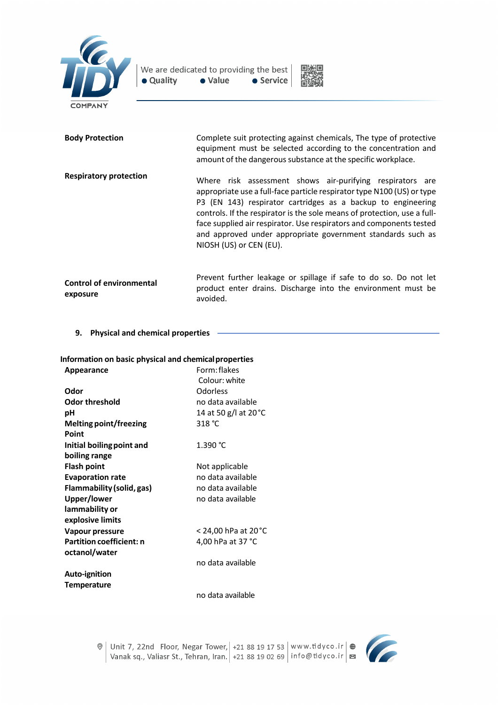



| <b>Body Protection</b>                      | Complete suit protecting against chemicals, The type of protective<br>equipment must be selected according to the concentration and<br>amount of the dangerous substance at the specific workplace.                                                                                                                                                                                                                                              |
|---------------------------------------------|--------------------------------------------------------------------------------------------------------------------------------------------------------------------------------------------------------------------------------------------------------------------------------------------------------------------------------------------------------------------------------------------------------------------------------------------------|
| <b>Respiratory protection</b>               | Where risk assessment shows air-purifying respirators are<br>appropriate use a full-face particle respirator type N100 (US) or type<br>P3 (EN 143) respirator cartridges as a backup to engineering<br>controls. If the respirator is the sole means of protection, use a full-<br>face supplied air respirator. Use respirators and components tested<br>and approved under appropriate government standards such as<br>NIOSH (US) or CEN (EU). |
| <b>Control of environmental</b><br>exposure | Prevent further leakage or spillage if safe to do so. Do not let<br>product enter drains. Discharge into the environment must be<br>avoided.                                                                                                                                                                                                                                                                                                     |

**9. Physical and chemical properties**

# **Information on basic physical and chemicalproperties**

| Appearance                       | Form: flakes          |
|----------------------------------|-----------------------|
|                                  | Colour: white         |
| Odor                             | Odorless              |
| Odor threshold                   | no data available     |
| рH                               | 14 at 50 g/l at 20 °C |
| Melting point/freezing           | 318 °C                |
| Point                            |                       |
| Initial boiling point and        | 1.390 °C              |
| boiling range                    |                       |
| Flash point                      | Not applicable        |
| <b>Evaporation rate</b>          | no data available     |
| <b>Flammability (solid, gas)</b> | no data available     |
| Upper/lower                      | no data available     |
| lammability or                   |                       |
| explosive limits                 |                       |
| Vapour pressure                  | < 24,00 hPa at 20 °C  |
| <b>Partition coefficient: n</b>  | 4,00 hPa at 37 °C     |
| octanol/water                    |                       |
|                                  | no data available     |
| <b>Auto-ignition</b>             |                       |
| <b>Temperature</b>               |                       |
|                                  | no data available     |

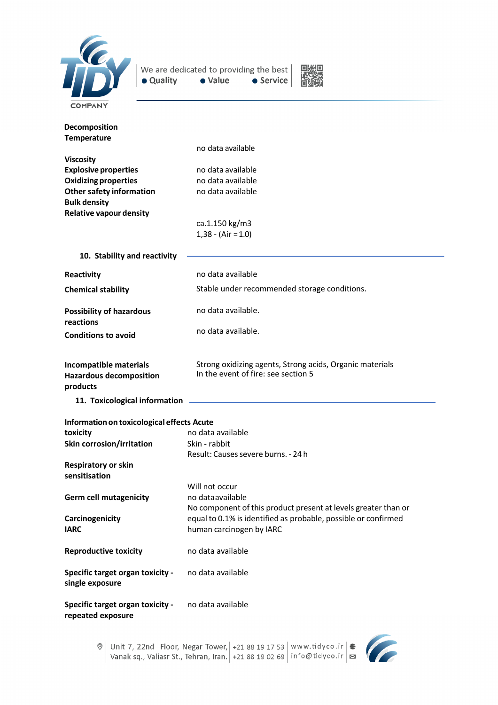

We are dedicated to providing the best  $\bullet$  Value • Quality  $\bullet$  Service



| Decomposition<br><b>Temperature</b><br><b>Viscosity</b><br><b>Explosive properties</b><br><b>Oxidizing properties</b><br><b>Other safety information</b><br><b>Bulk density</b><br><b>Relative vapour density</b> | no data available<br>no data available<br>no data available<br>no data available<br>ca.1.150 kg/m3    |  |
|-------------------------------------------------------------------------------------------------------------------------------------------------------------------------------------------------------------------|-------------------------------------------------------------------------------------------------------|--|
|                                                                                                                                                                                                                   | $1,38 - (Air = 1.0)$                                                                                  |  |
| 10. Stability and reactivity                                                                                                                                                                                      |                                                                                                       |  |
| Reactivity                                                                                                                                                                                                        | no data available                                                                                     |  |
| <b>Chemical stability</b>                                                                                                                                                                                         | Stable under recommended storage conditions.                                                          |  |
| <b>Possibility of hazardous</b><br>reactions                                                                                                                                                                      | no data available.                                                                                    |  |
| <b>Conditions to avoid</b>                                                                                                                                                                                        | no data available.                                                                                    |  |
| Incompatible materials<br><b>Hazardous decomposition</b><br>products                                                                                                                                              | Strong oxidizing agents, Strong acids, Organic materials<br>In the event of fire: see section 5       |  |
| 11. Toxicological information                                                                                                                                                                                     |                                                                                                       |  |
| Information on toxicological effects Acute                                                                                                                                                                        |                                                                                                       |  |
| toxicity                                                                                                                                                                                                          | no data available                                                                                     |  |
| Skin corrosion/irritation                                                                                                                                                                                         | Skin - rabbit<br>Result: Causes severe burns. - 24 h                                                  |  |
| <b>Respiratory or skin</b><br>sensitisation                                                                                                                                                                       |                                                                                                       |  |
| <b>Germ cell mutagenicity</b>                                                                                                                                                                                     | Will not occur<br>no data available<br>No component of this product present at levels greater than or |  |
| Carcinogenicity<br><b>IARC</b>                                                                                                                                                                                    | equal to 0.1% is identified as probable, possible or confirmed<br>human carcinogen by IARC            |  |
| <b>Reproductive toxicity</b>                                                                                                                                                                                      | no data available                                                                                     |  |
| <b>Specific target organ toxicity -</b><br>single exposure                                                                                                                                                        | no data available                                                                                     |  |
| <b>Specific target organ toxicity -</b><br>repeated exposure                                                                                                                                                      | no data available                                                                                     |  |

C  $\circ$  Unit 7, 22nd Floor, Negar Tower, | +21 88 19 17 53 | www.tidyco.ir |  $\circ$  Vanak sq., Valiasr St., Tehran, Iran. | +21 88 19 02 69 | info@tidyco.ir | ⊠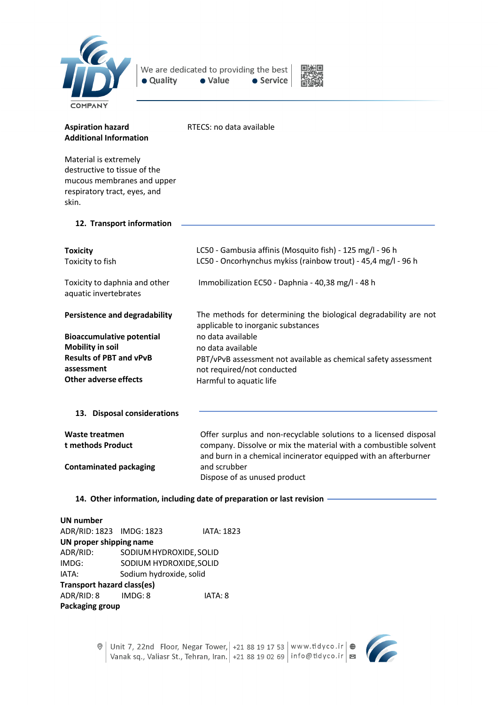

We are dedicated to providing the best · Value • Quality • Service



| <b>Aspiration hazard</b><br><b>Additional Information</b>                                                                    | RTECS: no data available                                                                                                                                                                                 |
|------------------------------------------------------------------------------------------------------------------------------|----------------------------------------------------------------------------------------------------------------------------------------------------------------------------------------------------------|
| Material is extremely<br>destructive to tissue of the<br>mucous membranes and upper<br>respiratory tract, eyes, and<br>skin. |                                                                                                                                                                                                          |
| 12. Transport information                                                                                                    |                                                                                                                                                                                                          |
| <b>Toxicity</b><br>Toxicity to fish                                                                                          | LC50 - Gambusia affinis (Mosquito fish) - 125 mg/l - 96 h<br>LC50 - Oncorhynchus mykiss (rainbow trout) - 45,4 mg/l - 96 h                                                                               |
| Toxicity to daphnia and other<br>aquatic invertebrates                                                                       | Immobilization EC50 - Daphnia - 40,38 mg/l - 48 h                                                                                                                                                        |
| <b>Persistence and degradability</b>                                                                                         | The methods for determining the biological degradability are not<br>applicable to inorganic substances                                                                                                   |
| <b>Bioaccumulative potential</b><br><b>Mobility in soil</b>                                                                  | no data available<br>no data available                                                                                                                                                                   |
| <b>Results of PBT and vPvB</b>                                                                                               | PBT/vPvB assessment not available as chemical safety assessment                                                                                                                                          |
| assessment                                                                                                                   | not required/not conducted                                                                                                                                                                               |
| Other adverse effects                                                                                                        | Harmful to aquatic life                                                                                                                                                                                  |
| 13. Disposal considerations                                                                                                  |                                                                                                                                                                                                          |
| Waste treatmen<br>t methods Product                                                                                          | Offer surplus and non-recyclable solutions to a licensed disposal<br>company. Dissolve or mix the material with a combustible solvent<br>and burn in a chemical incinerator equipped with an afterburner |
| <b>Contaminated packaging</b>                                                                                                | and scrubber<br>Dispose of as unused product                                                                                                                                                             |
| 14. Other information, including date of preparation or last revision                                                        |                                                                                                                                                                                                          |

**UN number** ADR/RID: 1823 IMDG: 1823 IATA: 1823 **UN proper shipping name** ADR/RID: SODIUMHYDROXIDE,SOLID IMDG: SODIUM HYDROXIDE,SOLID IATA: Sodium hydroxide, solid **Transport hazard class(es)** ADR/RID: 8 IMDG: 8 IATA: 8 **Packaging group**



 $\circ$  Unit 7, 22nd Floor, Negar Tower, 1-21 88 19 17 53 | www.tidyco.ir  $\circ$   $\bullet$  Vanak sq., Valiasr St., Tehran, Iran. 1-21 88 19 02 69 | info@tidyco.ir |  $\bullet$